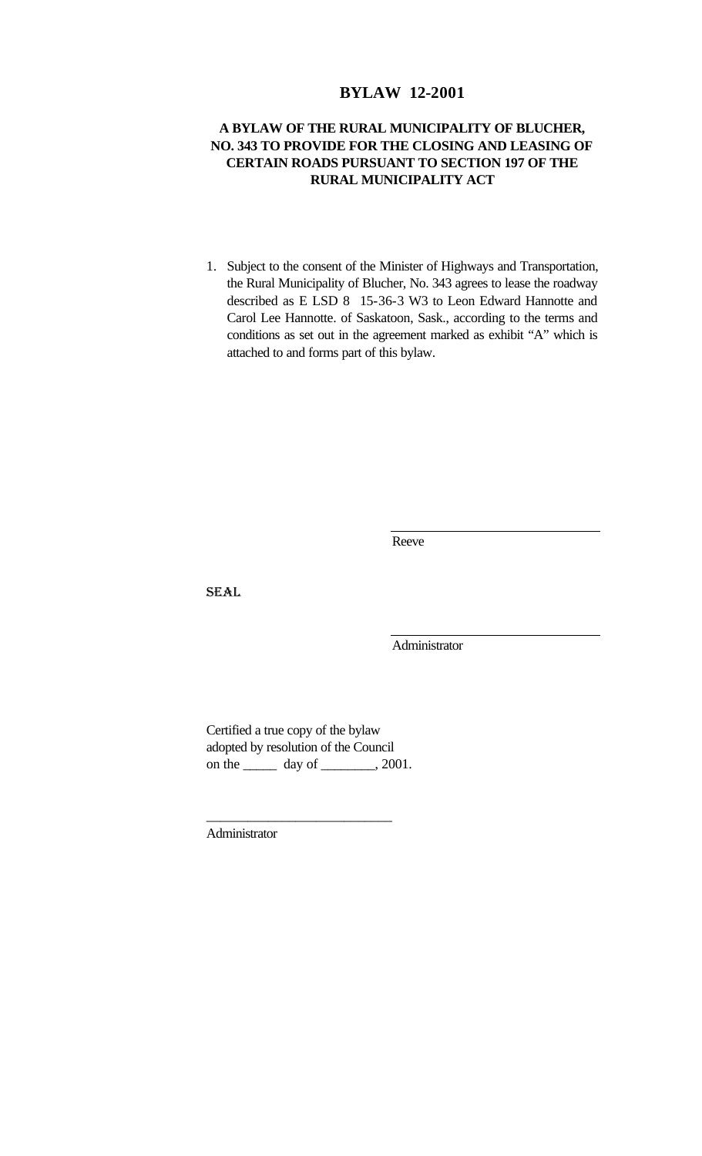# **BYLAW 12-2001**

# **A BYLAW OF THE RURAL MUNICIPALITY OF BLUCHER, NO. 343 TO PROVIDE FOR THE CLOSING AND LEASING OF CERTAIN ROADS PURSUANT TO SECTION 197 OF THE RURAL MUNICIPALITY ACT**

1. Subject to the consent of the Minister of Highways and Transportation, the Rural Municipality of Blucher, No. 343 agrees to lease the roadway described as E LSD 8 15-36-3 W3 to Leon Edward Hannotte and Carol Lee Hannotte. of Saskatoon, Sask., according to the terms and conditions as set out in the agreement marked as exhibit "A" which is attached to and forms part of this bylaw.

Reeve

SEAL

Administrator

Certified a true copy of the bylaw adopted by resolution of the Council on the \_\_\_\_\_\_\_ day of \_\_\_\_\_\_\_, 2001.

\_\_\_\_\_\_\_\_\_\_\_\_\_\_\_\_\_\_\_\_\_\_\_\_\_\_\_

Administrator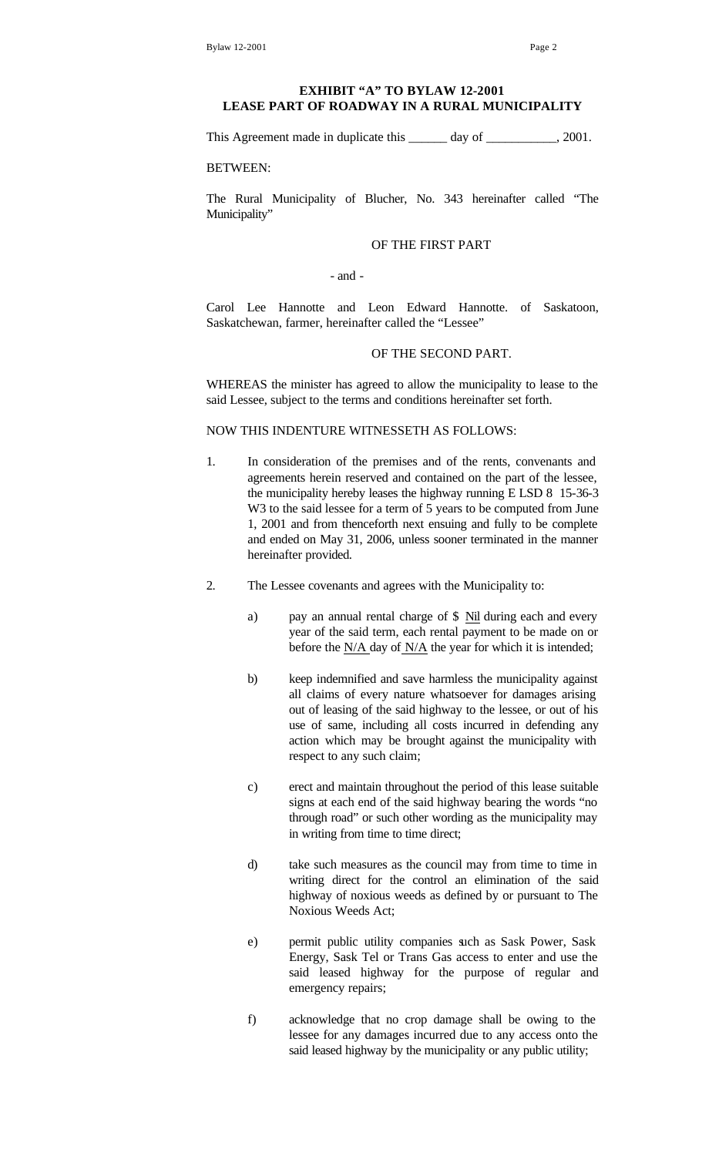## **EXHIBIT "A" TO BYLAW 12-2001 LEASE PART OF ROADWAY IN A RURAL MUNICIPALITY**

This Agreement made in duplicate this \_\_\_\_\_\_ day of \_\_\_\_\_\_\_\_\_, 2001.

BETWEEN:

The Rural Municipality of Blucher, No. 343 hereinafter called "The Municipality"

#### OF THE FIRST PART

- and -

Carol Lee Hannotte and Leon Edward Hannotte. of Saskatoon, Saskatchewan, farmer, hereinafter called the "Lessee"

### OF THE SECOND PART.

WHEREAS the minister has agreed to allow the municipality to lease to the said Lessee, subject to the terms and conditions hereinafter set forth.

#### NOW THIS INDENTURE WITNESSETH AS FOLLOWS:

- 1. In consideration of the premises and of the rents, convenants and agreements herein reserved and contained on the part of the lessee, the municipality hereby leases the highway running E LSD 8 15-36-3 W3 to the said lessee for a term of 5 years to be computed from June 1, 2001 and from thenceforth next ensuing and fully to be complete and ended on May 31, 2006, unless sooner terminated in the manner hereinafter provided.
- 2. The Lessee covenants and agrees with the Municipality to:
	- a) pay an annual rental charge of \$ Nil during each and every year of the said term, each rental payment to be made on or before the N/A day of N/A the year for which it is intended;
	- b) keep indemnified and save harmless the municipality against all claims of every nature whatsoever for damages arising out of leasing of the said highway to the lessee, or out of his use of same, including all costs incurred in defending any action which may be brought against the municipality with respect to any such claim;
	- c) erect and maintain throughout the period of this lease suitable signs at each end of the said highway bearing the words "no through road" or such other wording as the municipality may in writing from time to time direct;
	- d) take such measures as the council may from time to time in writing direct for the control an elimination of the said highway of noxious weeds as defined by or pursuant to The Noxious Weeds Act;
	- e) permit public utility companies such as Sask Power, Sask Energy, Sask Tel or Trans Gas access to enter and use the said leased highway for the purpose of regular and emergency repairs;
	- f) acknowledge that no crop damage shall be owing to the lessee for any damages incurred due to any access onto the said leased highway by the municipality or any public utility;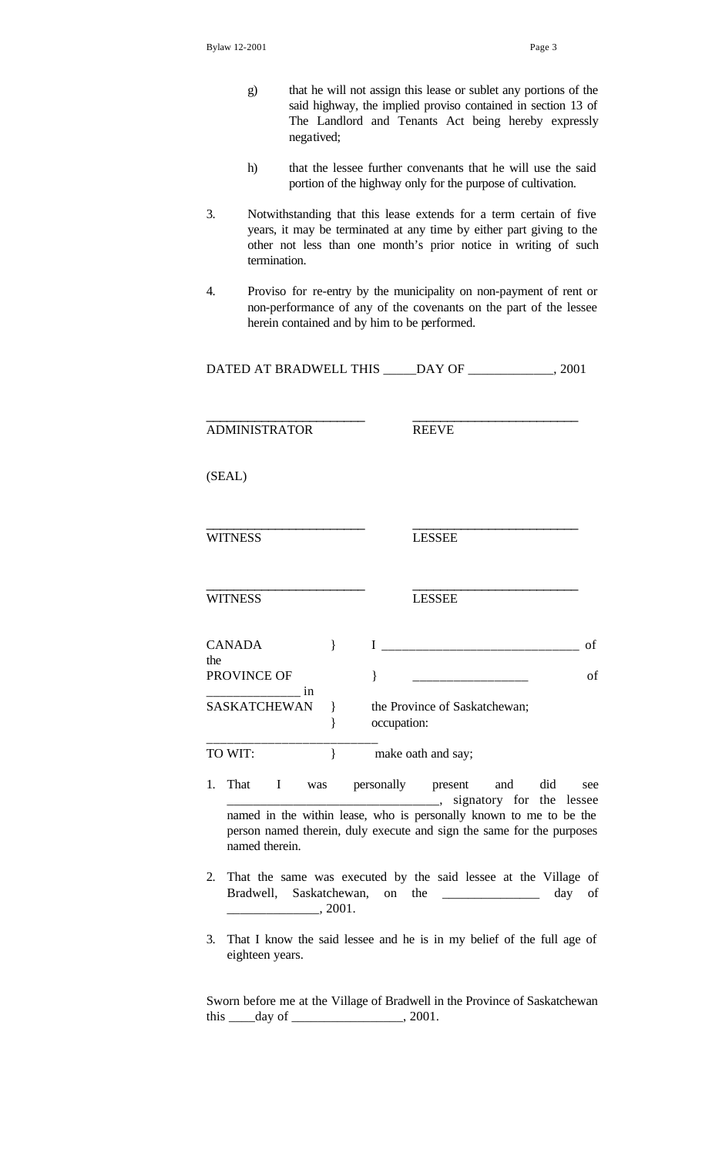- g) that he will not assign this lease or sublet any portions of the said highway, the implied proviso contained in section 13 of The Landlord and Tenants Act being hereby expressly negatived;
- h) that the lessee further convenants that he will use the said portion of the highway only for the purpose of cultivation.
- 3. Notwithstanding that this lease extends for a term certain of five years, it may be terminated at any time by either part giving to the other not less than one month's prior notice in writing of such termination.
- 4. Proviso for re-entry by the municipality on non-payment of rent or non-performance of any of the covenants on the part of the lessee herein contained and by him to be performed.

| DATED AT BRADWELL THIS | DAY OF | . 2001 |
|------------------------|--------|--------|
|------------------------|--------|--------|

\_\_\_\_\_\_\_\_\_\_\_\_\_\_\_\_\_\_\_\_\_\_\_ \_\_\_\_\_\_\_\_\_\_\_\_\_\_\_\_\_\_\_\_\_\_\_\_

ADMINISTRATOR REEVE

\_\_\_\_\_\_\_\_\_\_\_\_\_\_\_\_\_\_\_\_\_\_\_ \_\_\_\_\_\_\_\_\_\_\_\_\_\_\_\_\_\_\_\_\_\_\_\_

(SEAL)

WITNESS LESSEE

\_\_\_\_\_\_\_\_\_\_\_\_\_\_\_\_\_\_\_\_\_\_\_ \_\_\_\_\_\_\_\_\_\_\_\_\_\_\_\_\_\_\_\_\_\_\_\_ WITNESS LESSEE

| <b>CANADA</b><br>the |                                              |  |
|----------------------|----------------------------------------------|--|
| PROVINCE OF          |                                              |  |
| SASKATCHEWAN         | the Province of Saskatchewan;<br>occupation: |  |

TO WIT:  $\qquad \qquad \} \qquad \text{make out and say;}$ 

\_\_\_\_\_\_\_\_\_\_\_\_\_\_\_\_\_\_\_\_\_\_\_\_\_

- 1. That I was personally present and did see \_\_\_\_\_\_\_\_\_\_\_\_\_\_\_\_\_\_\_\_\_\_\_\_\_\_\_\_\_\_\_\_, signatory for the lessee named in the within lease, who is personally known to me to be the person named therein, duly execute and sign the same for the purposes named therein.
- 2. That the same was executed by the said lessee at the Village of Bradwell, Saskatchewan, on the \_\_\_\_\_\_\_\_\_\_\_\_\_\_\_ day of \_\_\_\_\_\_\_\_\_\_\_\_\_\_, 2001.
- 3. That I know the said lessee and he is in my belief of the full age of eighteen years.

Sworn before me at the Village of Bradwell in the Province of Saskatchewan this  $\_\_\_day\$  of  $\_\_\_\_\_\_\_\_\_\_$ , 2001.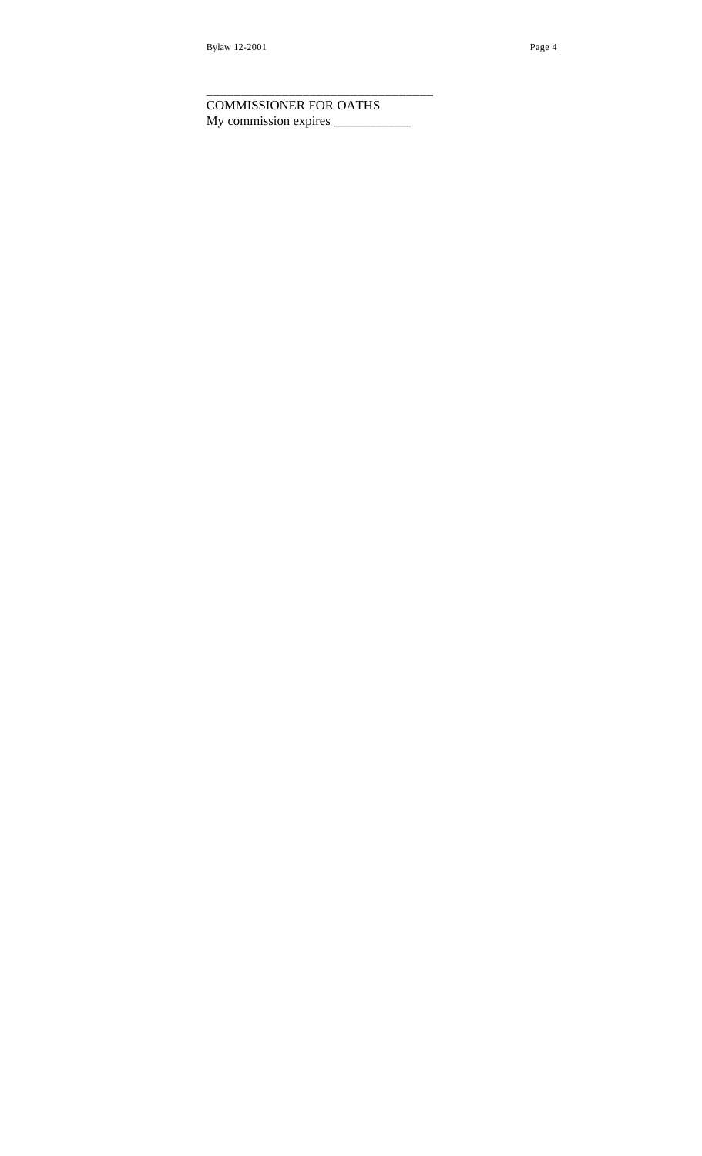COMMISSIONER FOR OATHS My commission expires \_\_\_\_\_\_\_\_\_\_\_\_

\_\_\_\_\_\_\_\_\_\_\_\_\_\_\_\_\_\_\_\_\_\_\_\_\_\_\_\_\_\_\_\_\_